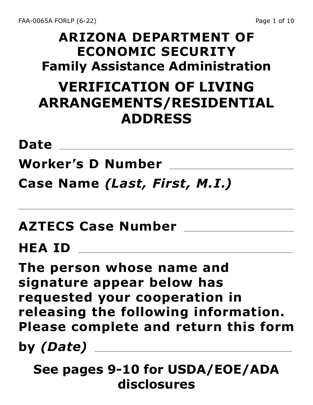#### **ARIZONA DEPARTMENT OF ECONOMIC SECURITY Family Assistance Administration**

# **VERIFICATION OF LIVING ARRANGEMENTS/RESIDENTIAL ADDRESS**

<u> 1989 - Johann Stoff, fransk politik (d. 1989)</u>

**Date**

**Worker's D Number**

**Case Name** *(Last, First, M.I.)*

**AZTECS Case Number**

**HEA ID**

**The person whose name and signature appear below has requested your cooperation in releasing the following information. Please complete and return this form** 

**by** *(Date)*

**See pages 9-10 for USDA/EOE/ADA disclosures**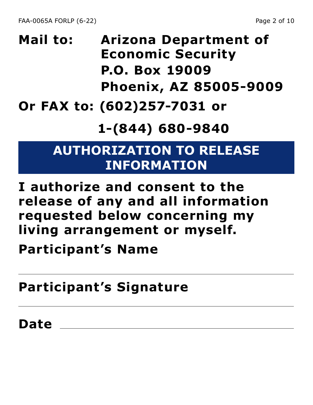# **Mail to: Arizona Department of Economic Security P.O. Box 19009 Phoenix, AZ 85005-9009**

#### **Or FAX to: (602)257-7031 or**

#### **1-(844) 680-9840**

#### **AUTHORIZATION TO RELEASE INFORMATION**

**I authorize and consent to the release of any and all information requested below concerning my living arrangement or myself.**

**Participant's Name**

**Participant's Signature**

**Date**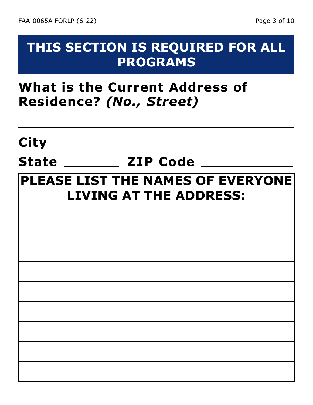#### **THIS SECTION IS REQUIRED FOR ALL PROGRAMS**

#### **What is the Current Address of Residence?** *(No., Street)*

# **City State ZIP Code PLEASE LIST THE NAMES OF EVERYONE LIVING AT THE ADDRESS:**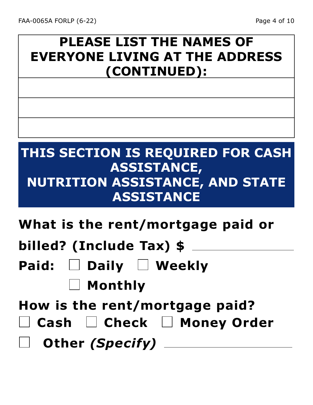# **PLEASE LIST THE NAMES OF EVERYONE LIVING AT THE ADDRESS (CONTINUED):**

# **THIS SECTION IS REQUIRED FOR CASH ASSISTANCE, NUTRITION ASSISTANCE, AND STATE ASSISTANCE**

**What is the rent/mortgage paid or** 

**billed? (Include Tax) \$**

- **Paid: Daily Weekly**
	- **Monthly**

**How is the rent/mortgage paid?**

**Cash Check Money Order**

**Other** *(Specify)*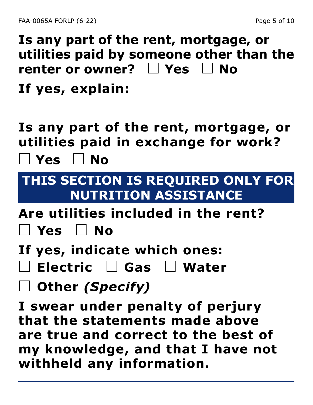**Is any part of the rent, mortgage, or utilities paid by someone other than the renter or owner? Yes No If yes, explain:**

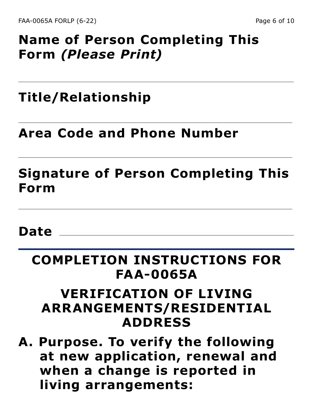### **Name of Person Completing This Form** *(Please Print)*

### **Title/Relationship**

#### **Area Code and Phone Number**

### **Signature of Person Completing This Form**

#### **Date**

# **COMPLETION INSTRUCTIONS FOR FAA-0065A**

#### **VERIFICATION OF LIVING ARRANGEMENTS/RESIDENTIAL ADDRESS**

**A. Purpose. To verify the following at new application, renewal and when a change is reported in living arrangements:**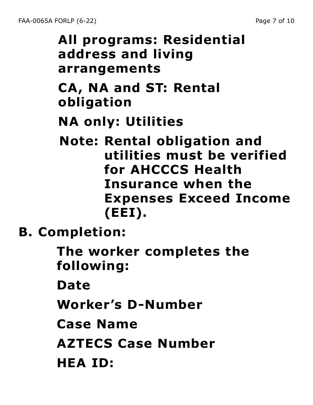# **All programs: Residential address and living arrangements CA, NA and ST: Rental obligation for AHCCCS Health**

**NA only: Utilities**

**Note: Rental obligation and utilities must be verified Insurance when the Expenses Exceed Income (EEI).**

**B. Completion:**

**The worker completes the following:**

**Date**

**Worker's D-Number**

**Case Name**

**AZTECS Case Number**

**HEA ID:**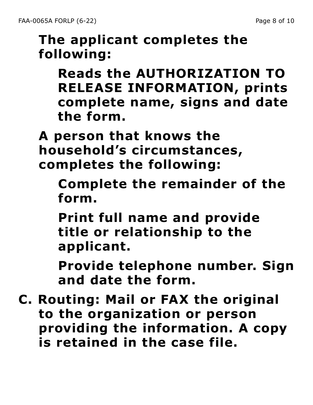# **The applicant completes the following:**

**Reads the AUTHORIZATION TO RELEASE INFORMATION, prints complete name, signs and date the form.**

**A person that knows the household's circumstances, completes the following:**

**Complete the remainder of the form.**

**Print full name and provide title or relationship to the applicant.**

**Provide telephone number. Sign and date the form.**

**C. Routing: Mail or FAX the original to the organization or person providing the information. A copy is retained in the case file.**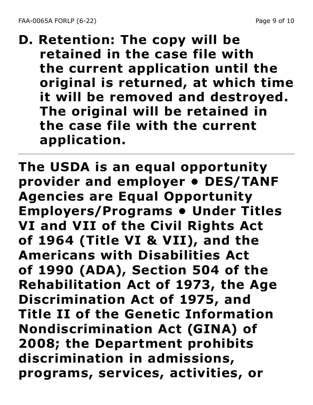**D. Retention: The copy will be retained in the case file with the current application until the original is returned, at which time it will be removed and destroyed. The original will be retained in the case file with the current application.**

**The USDA is an equal opportunity provider and employer • DES/TANF Agencies are Equal Opportunity Employers/Programs • Under Titles VI and VII of the Civil Rights Act of 1964 (Title VI & VII), and the Americans with Disabilities Act of 1990 (ADA), Section 504 of the Rehabilitation Act of 1973, the Age Discrimination Act of 1975, and Title II of the Genetic Information Nondiscrimination Act (GINA) of 2008; the Department prohibits discrimination in admissions, programs, services, activities, or**